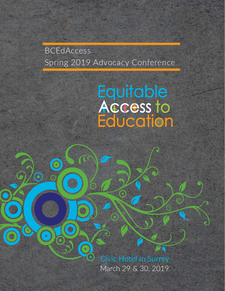# BCEdAccess Spring 2019 Advocacy Conference

 $\bigodot$ 

 $\bigodot$ 

# Equitable<br>Access to<br>Education

Civic Hotel in Surrey March 29 & 30, 2019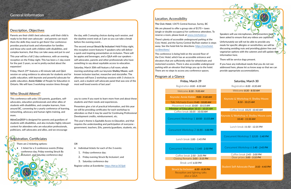# General Information

### Program at a Glance

### Description, Objectives

Parents are their child's best advocate, until their child is ready to be their own advocate - and parents can teach them the skills they need to get there! Our conference provides practical tools and information for families and those who work with children with disabilities, and complex learners, that they can take away and put to use!

This year will be a full 2 day conference, with an evening reception on the Friday night. This has been a 1 day event for the past 3 years, so we're pretty excited about the expansion!

Friday, March 29th features a 40 minute talk and Q&A session on using evidence to advocate for students and for public education, with keynote and powerful advocate for public education, **Annie Kidder** of People for Education in Ontario. We will have 3 workshop session times through

> you to come if you want to learn more from and about these students and their needs and experiences.

the day, with 3 amazing choices during each session, and the daytime event ends at 3 pm so you can take a break before the evening event…

The second annual **Struck By Inclusion!** Held Friday night, this reception event features 9 speakers who will deliver a quick and inspiring presentation on inclusion. There will be appies and beverages, and a Q&A with our speakers self-advocates, parents and other professionals who have something to say about equitable access to education.

Saturday, March 30th will feature a full room, whole morning workshop with our keynote **Shelley Moore**, wellknown inclusion teacher, researcher and storyteller. The afternoon will have 2 workshop sessions with 3 choices in each, and a student self-advocate panel that was one of the most well loved events of last year!

Presenters give a lot of practical information, and this year we will be providing certificates for each workshop to attendees so that it may be used for Continuing Professional Development credits, reimbursement, etc.

- Individual tickets for each of the 3 events:
	- 1. Friday conference day;
	- 2. Friday evening Struck By Inclusion!; and
	- 3. Saturday conference day

This year's theme is *Equitable Access to Education*, and that requires the understanding and participation of everyone government, teachers, EAs, parents/guardians, students, etc.

This conference will unite 150 parents, guardians, selfadvocates, education professionals and other allies of students with disabilities, and complex learners, from around BC, convening for a yearly conference of learning, networking, advocacy and human rights training, and more.

**AdvoCon2019** is designed for parents and guardians of students with disabilities, and also includes highly relevant content for attendees who are education professionals, politicians, self-advocates and allies, and we encourage

### Who Should Attend?

**The Civic Hotel**, 13475 Central Avenue, Surrey, BC

We are pleased to offer a group rate of \$170 + taxes (single or double occupancy) for conference attendees. To reserve a room, please book at [www.civichotel.ca](http://www.civichotel.ca)

There's plenty of accessible underground parking at the Civic Hotel, and the Surrey Central SkyTrain station is steps away. See the hotel link for directions: [https://civichotel.](https://civichotel.ca/directions/ ) [ca/directions/](https://civichotel.ca/directions/ )

The conference is being held on the second floor of the Civic Hotel, which has an accessible entrance and elevators that are sufficiently wide for wheelchairs and motorized scooters. There is also accessible underground parking with an elevator that brings you up to the hotel. There are no steps to access any conference spaces.

### Location, Accessibility

OR



Register online at Eventbrite: <https://bit.ly/2CSjsIi>

There are 2 ticketing options:

• 1 ticket for a 3 conference events (Friday conference day, Friday evening Struck By Inclusion!, and Saturday conference day)

## Registration, Certificiates

Break until *6:30 PM*

Coffee break *2:50 - 3:05 PM* Closing Remarks *3:05 - 3:15 PM*

Registration *8:00 - 8:30 AM*

Struck by Inclusion! *6:30 - 8:30 PM* Reception and lighning talks plus a Q&A

Welcome *8:30 - 9:00 AM*

Keynote: Annie Kidder *9:00 - 9:40 AM*

Concurrent Workshop 3 *1:45 - 2:50 PM*

Concurrent Workshop 1 *10:50 - 11:55 AM*

Talk: Michaela Evans *9:40 - 10:00 AM* Minister of Education *10:15 - 10:35 AM* Coffee break *10:35 - 10:50 AM* Movement break *10:00 - 10:15 AM*

Lunch break *1:00 - 1:45 PM*

Concurrent Workshop 2 *11:55 - 1:00 PM*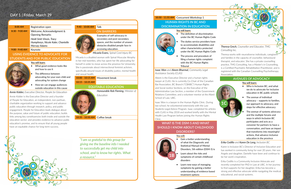# DAY 1 | Friday, March 29

| $8:00$ AM        | Registration open                                                              |
|------------------|--------------------------------------------------------------------------------|
| $8:30 - 9:00 AM$ | Welcome, Acknowledgment &<br><b>Opening Remarks</b>                            |
|                  | Heidi Smit-Vinois, Tracy<br>Humphreys, Nicole Kaler, Chantelle<br>Morvay-Adams |
| $9:00 - 9:40 AM$ | Keynote                                                                        |

### **USING EVIDENCE TO ADVOCATE FOR STUDENTS AND FOR PUBLIC EDUCATION**

### **You will learn:**



- What good evidence looks like and how to use it
- The difference between advocating for your own child and advocating for system change
- How we can engage audiences outside education in this cause

*Annie Kidder, Executive Director, People for Education* 

Annie Kidder is the Executive Director and a founder of People for Education, an independent, non-partisan, charitable organization working to support and advance public education through research, policy, and public engagement. People for Education leads dialogue about the purpose, value and future of public education; builds links among key constituencies both inside and outside the education sector; and provides evidence to advance public education's promise, and to ensure that all young people have an equitable chance for long-term success.



under the BC Human Rights Cod The duties service providers have to accommodate disabilities and other characteristics protected

### **9:40 - 10:00 AM** Talk **ON BARRIERS**



Examples of self-advocacy in secondary and post-secondary spaces, and the number of unseen obstacles disabled people face in accessing education.

*Micaela Evans, Spinal Cord Injury BC* 

Micaela is a disabled woman with Spinal Muscular Atrophy in her mid-twenties, who has spent her life advocating for herself in order to move across the province for University. She is passionate about intersectional feminist activism, specifically around issues of disability justice, mental health and sexual health.

### **10:00 - 10:15 AM** Movement break

### **10:15 - 10:35 AM**

### **EQUITABLE EDUCATION**



*Honourable Rob Fleming, Minister of Education*

### **10:35 - 10:50 AM** Coffee break

### **10:50 - 11:55 AM** Concurrent Workshop 1

### **HUMAN RIGHTS IN BC AND DISCRIMINATION IN EDUCATION**

### **You will learn:**

under the BC Human Rights Code

The process and procedure of filing a human rights complaint with the BC Human Rights **Tribunal** 

*Isaac Won and Aleem Bharmal, Community Legal Assistance Society (CLAS)* 

Aleem is the Executive Director and a human rights lawyer at CLAS. He is currently Co-Chair of the Canadian Bar Association, BC Branch ("CBABC") Human Rights and Social Justice Sections, on the Executive of the Administrative Law Section, a member of the Government Relations Committee, and a volunteer mentor at the Allard School of Law, UBC.

Isaac Won is a lawyer in the Human Rights Clinic. During law school, he volunteered extensively with the Law Students Legal Advice Program. Isaac completed his articles with CLAS in May 2018 and worked briefly with the Mental Health Law Program before joining the Human Rights Clinic.

# **WHAT IS THE DSM-5 AND WHAT SHOULD I KNOW ABOUT CHILDHOOD DISORDERS?**

### You will:

- Gain a better understanding of what the Diagnostic and Statistical Manual of Mental Disorders, 5th edition (DSM-5) is
- Learn about the risks and symptoms of certain childhood disorders
- Learn new ways of managing symptoms by gaining a better understanding of evidence based treatment options

| le |           |
|----|-----------|
| e  |           |
|    | Theresa G |

*Theresa Grech, Counsellor and Educator, TMG Consulting Inc.* 



Theresa works with neurodiverse individuals, caregivers and families in the capacity of counsellor, behavioural therapist, and educator. She has a private counselling practice, TMG Consulting, has a Master's in Counselling, is a Certified Psychiatric Rehabilitation Practitioner, and is registered with the Canadian Counselling Psychotherapy Association.

### **AVENUES OF ADVOCACY**

### **You will learn:**

- Who is Inclusion BC, and what we do to advocate for inclusive education in BC public schools
- The avenue of individual advocacy – supports to families, our approach to advocacy, and steps for effective advocacy
	- The avenue of systems advocacy and the multiple forums and ways in which Inclusion BC participates and acts as a convener for partners to have a conversation, and have an impact that transforms into meaningful actions, that advance inclusive education in the province

### *Erika Cedillo and Karen De Long, Inclusion BC*

Karen is Inclusion BC's Director of Inclusive Education and has worked in community living for over 20 years. Her son Angelo and daughter, Danielle have been and continue to be her work's inspiration.

Erika Cedillo is a Community Inclusion Advocate and recently completed her PhD in Law at UBC. In her journey to find supports for her daughter, Erika has become a strong and effective advocate while navigating the medical, educational, and social systems.

*"I am so grateful to this group for giving me the baseline info I needed to successfully get my child into school, and to know her rights. What a resource."*



**1C**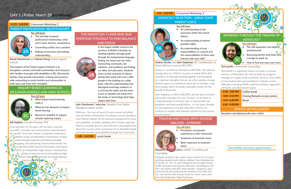# DAY 1 | Friday, March 29 (continued)

### **11:55 - 1:00 PM** Concurrent Workshop 2

### **PARENT PROFESSIONAL RELATIONSHIPS**

### **You will learn:**

- The principle of parent professional relationships, what won't work, barriers, assumptions
- Converting conflict into a positive
- Making connections and seeking understanding

*Wendi Mackintosh and Mandy Young, Family Support Institute* 

As an educator for 23 years, Jeff has been a teacher, counsellor, principal, and school district superintendent. He was BC's first Safe Schools Coordinator, working to address issues of intimidation, harassment, anxiety, and suicide through programs promoting equitable, engaging, and welcoming school environments. He founded the Pacific School of Innovation and Inquiry in 2013, an independent high school in Victoria that helps its learners transcend traditional high school subject silos through an interdisciplinary, nquiry-based approac

The purpose of the Family Support Institute is to strengthen, connect and build communities and resources with families of people with disabilities in BC. Directed by families, they provide information, training and provincewide networking to assist families and communities to build upon and share their strengths.

## **INQUIRY-BASED LEARNING AS INCLUSION (MIDDLE AND HIGH SCHOOL)**

### You will learn:

- What inquiry-based learning really is
- What are the elements of inquirybased learning
- Resources available to support schools exploring inquiry

### *Jeff Hopkins, Founder/Principal, PSII*

### **THE KWANTLEN 7 LAWS AND OUR EVERYDAY STRUGGLE TO FIND BALANCE AND FOCUS**

In the largest middle school in the province of British Columbia, by working together through goals through the hand aminam language, finding one heart and one mind. Connecting community, the outdoors, oral traditions and finding our allies and advocates. Students strive to find moments of silence during their week with over 1,200 people in the building on a daily basis, with the understanding that Aboriginal teachings outdoors in a circle by the water and the trees is just as valuable and equal from the books or technology that helps shapes their lives.

*Luke Dandurand / wiyé.nox, Kwantlen First Nation, Aboriginal support worker*

- ച The self-awareness and skills to avoid burnout
- Removing barriers that drain your courage to speak up

Wiyé.nox ‐ the man of sound. A name earned and gifted from the Elders of Kwantlen First Nation and his hereditary chief Marilyn Gabriel, for his extensive background in music and capabilities of public speaking. Part of Luke's goal and what he currently does for work full time is let people know about the success, pride and passion of my Kwantlen family and what has been accomplished through our community.

**1:00 - 1:45 PM** Lunch break

### **1:45 - 2:50 PM** Concurrent Workshop 3

**ADVOCACY IN ACTION - USING YOUR PARENT VOICE**

### You will learn:

- An understanding of the processes within the school district
- An understanding of parent/ guardian rights
- An understanding of your responsibilities as a parent and the responsibilities of those who interact with your child

*Andrea Sinclair and John Gaiptman, BC Confederation of Parent Advisory Councils (BCCPAC)* 

Andrea is currently the President of BCCPAC. She believes strongly that our children's success is rooted within their education; it's through working together and leveraging our collective strengths that we can effect positive change. Andrea's goal is to continue to advocate for strategic, longterm change within the public education system for the benefit of all parents.

John Gaiptman is CEO of BCCPAC and has been involved with public education for over 35 years, 14 of those as a Superintendent of Schools. John is married with two daughters and three grandchildren. It is his hope, through his vast experience in public education, that he can continue to support and empower parents for the success of each learner.

# **TRAUMA AND FOLKS WITH DIVERSE ABILITIES - A PRIMER**

### You will learn:

- Prevalence of traumatic experiences in this community
- Symptoms of traumatic stress
- Basic responses to traumatic stress

Margaret worked in the public school system for 15 years teaching students with diverse abilities from Kindergarten to Grade 12. For 11 years Margaret has provided sexual health education and trauma informed counselling to children and adults with IDD, their families, caregivers, paraprofessionals and professionals working in the field. She has learned her best lessons from her sister Susan who lives with Rubinstein Taybi Syndrome..

### **WORKING THROUGH THE TRAUMA OF ADVOCACY**

You will learn:

*Counselling* **3B**

**Margaret New Y Jones, SHADE Consulting and** 

• How to find and value your voice

### *Ted Leavitt, Connectivity Counselling*

Ted Leavitt is a registered clinical counsellor in private practice in Abbotsford, BC and currently the program manager of Langley Youth and Family Services. Since 2006, he has worked with and specialized in impulse control difficulties including ADHD, addictive behavior, aggression, self-harm, and attachment trauma.

| $2:50 - 3:05$ PM            | Coffee break                  |  |
|-----------------------------|-------------------------------|--|
| $3:05 - 3:15$ PM            | Closing Remarks & door prizes |  |
| $3:15 - 6:30$ PM            | <b>Break</b>                  |  |
| $6:30 - 8:30$ PM            |                               |  |
| <b>STRUCK BY INCLUSION!</b> |                               |  |

Reception and lightning talks plus a Q&A

*"Incredible learning opportunity."*



**2C**

**3C**





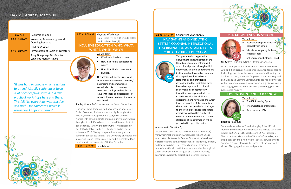# DAY 2 | Saturday, March 30

| $8:00$ AM        | Registration open                                             |
|------------------|---------------------------------------------------------------|
| $8:30 - 8:40$ AM | Welcome, Acknowledgment &<br><b>Opening Remarks</b>           |
|                  | Heidi Smit-Vinois                                             |
| $8:40 - 8:50$ AM | Introduction of Board of Directors                            |
|                  | <b>Tracy Humphreys Nicole Kaler</b><br>Chantelle Morvay-Adams |

## **12:35 - 1:40 PM** Concurrent Workshop 5 **NAVIGATING AND MEDIATING SETTLER COLONIAL INTERSECTIONAL DISCRIMINATION AS A PARENT OF A CHILD IN PUBLIC EDUCATION**

This presentation begins with disrupting the naturalization of the Canadian education, reframing it as a colonial project through which employees, children, and parents are institutionalized towards education that reproduces hierarchies of relationships and knowledge dissemination that maintains these hierarchies upon which colonial society and it's contemporary formations are regenerated. Lived experiences that her child has experienced and navigated and which form the impetus of this analysis are shared with her permission. Linkages to the lived experiences that others experience within this reality will be made and opportunities to build strategies of transformation will be generated in open discussion.

- $\bullet$  Scaffolded steps to have studer connect with school
- Visuals for empathy for how students "feel"
- Self regulation strategies for all

### *waaseyaa'sin Christine Sy*

waaseyaa'sin Christine Sy is makwa doodem (bear clan) from Anishinaabe territory (Great Lakes region). She is an Assistant Professor in Gender Studies at University of Victoria teaching at the intersections of indigeneity, gender, and (de)colonization. Her research signifies Indigenous womxn's relationship with the natural world within a global, settler colonial context doing so as a cultural memory, economic sovereignty project, and resurgence project.

### **MENTAL WELLNESS IN SCHOOLS**

You will learn:

### *Ian Landy, Principal, Edgehill Elementary (SD47)*

Ian is a Principal in Powell River and is supported by his wife and 3 children as he explores education topics around technology, mental wellness and personalized learning. He has been a strong advocate for project based learning, and Self Organized Learning Environments. He has also worked with a number of anxious learners (including his son) and in encouraging schools that work with those struggling with Generalized Anxiety.

### **IEPS - WHAT YOU NEED TO KNOW**

### You will learn:

### *Suzanne Perreault*

Suzanne is a mother of 3 and a Langley School District Trustee. She has been Administrator of a Private Vocational School, an SEA, a TEDx speaker, and DPAC President. She currently works a Youth & Woman's Counsellor, is a public speaker, and a nominee for several service awards. Suzanne's primary focus is the success of the student by virtue of bridging educators and parents.

# **8:50 - 11:50 AM** Keynote Workshop

(Note: there will be a 15 minute coffee break midway through)

### **INCLUSIVE EDUCATION: WHO, WHAT, WHERE, WHEN, WHY?!**

### We will learn

• What inclusion is and is not

- How inclusion is connected to equity
	- How disability is connected to diversity

This session will deconstruct what inclusive education means in today's classrooms and communities. We will also discuss common misunderstandings and myths and leave with ideas and possibilities of inclusive learning communities and all who benefit.

- **5C**
	- The IEP Planning Cycle
	- The importance of language
	- Advocacy and IEPs

*Shelley Moore, PhD Student and Inclusion Consultant*

Originally from Edmonton, and now based in Vancouver, British Columbia, Shelley Moore is a highly sought after teacher, researcher, speaker and storyteller and has worked with school districts and community organizations throughout both Canada and the United States. Her first book entitled, "One Without the Other" was released in July 2016 to follow up her TEDx talk hosted in Langley in January 2016. Shelley completed an undergraduate degree in Special Education at the University of Alberta, her masters at Simon Fraser University, and is currently a PhD candidate at the University of British Columbia.

**11:50 - 12:35PM** Lunch break

*"It was hard to choose which sessions to attend! Usually conferences have a lot of conceptual stuff, and a few practical workshops here and there. This felt like everything was practical and useful for advocates, which is something I hope continues."*







**5B**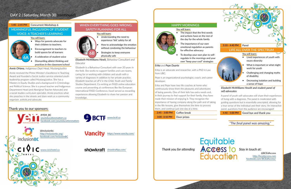# DAY 2 | Saturday, March 30 (continued)

### **1:40 - 2:45 PM** Concurrent Workshop 6 **MEANINGFUL INCLUSION OF STUDENT**

# **VOICE: A TEACHER'S LEARNING**

### You will learn:

- Ways for parents advocate for their children to teachers.
- Encouragement to teachers to build spaces for all learners
- A celebration of student voice
- Dismantling ableist thinking and practices in the classroom/school

*Annie OHana, Indigenous Dept Head, MustangJustice*

Annie received the Prime Minister's Excellence in Teaching Award and founded a Social Justice service oriented youth leadership program called MustangJustice. She has a Masters in Equity Studies and a background in Criminology and Political Science. She is a proud teacher and Indigenous Department Head (and Aboriginal Teacher Advocate) and a social studies curriculum specialist. Annie practices what she preaches in the streets and does work as a community organizer, activist,and advocate.

# **WHEN EVERYTHING GOES WRONG; SAFETY PLANNING FOR ALL**

### You will learn:

• Understanding the need to experience 'felt' safety for all • How to acknowledge the emotion without condoning the behaviour Strategies to keep everyone physically safe

*Elizabeth McWilliams Hewit, Behaviour Consultant and Educator*

> **2:45 - 3:00 PM** Coffee break **3:00 -3:10 PM** Door prizes



Elizabeth is a Behaviour Consultant with over 20 years in the field. She works to support families and care teams, caring for or working with children and youth with a variety of diagnoses In addition to her private practice, Elizabeth teaches at UFV in the Child, Youth and Family Studies Department. Co-writing an FASD online education course and presenting at conferences like the European International FASD Conference, havel served as rewarding experiences allowing Elizabeth to share her passion and knowledge.

### **HAPPY MORNINGS**

### You will learn:

### **Vancity** https://www.vancity.com/

showkraft [showkraftps.com/](http://showkraftps.com/)

- The impact that the first words and actions have on the rest of the day for the whole family
- The importance of our own emotional regulation as parents for effective advocacy
- To develop your own plan to selfregulate in the mornings and your own "keep your cool" strategies

### *Erika and Pepe Duarte*

Erika is an advocate and researcher, with a PhD in Law from UBC.

Pepe is an organizational psychologist, coach, and career developer.

Erika and Pepe have two life coaches at home who continuously show them the pleasures and adventures of being parents. One of their kids has extra needs and, in their journey to find support for their family, they have made their mission of enjoying it. They recognize the importance of having company along the path and of taking in the life-lessons, give themselves the time to process them, and continue just one day at a time.



**4:40 - 5:00 PM** Good bye and thank you



## Thank you to our sponsors:

@BCEdAccess [http://](https://equitableaccesstoeducation.wordpress.com/)bcedaccess.com [facebook.com/B](http://facebook.com/BCEdAccess/)CEdAccess/

*"The final panel was amazing."*

**Fquitable**<br>Thank you for attending **ACCESS TO** Stay in touch at: **Folucation** 







**6A**